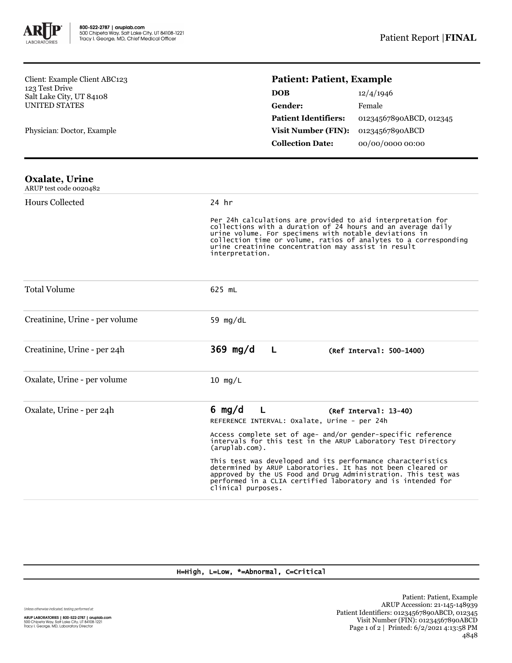

Client: Example Client ABC123 123 Test Drive Salt Lake City, UT 84108 UNITED STATES

Physician: Doctor, Example

## **Patient: Patient, Example**

| <b>DOB</b>                  | 12/4/1946               |
|-----------------------------|-------------------------|
| <b>Gender:</b>              | Female                  |
| <b>Patient Identifiers:</b> | 01234567890ABCD, 012345 |
| <b>Visit Number (FIN):</b>  | 01234567890ABCD         |
| <b>Collection Date:</b>     | 00/00/0000 00:00        |

| <b>Oxalate, Urine</b><br>ARUP test code 0020482 |                                                                                                                                                                                                                                                                                                                                     |  |  |
|-------------------------------------------------|-------------------------------------------------------------------------------------------------------------------------------------------------------------------------------------------------------------------------------------------------------------------------------------------------------------------------------------|--|--|
| Hours Collected                                 | $24$ hr                                                                                                                                                                                                                                                                                                                             |  |  |
|                                                 | Per 24h calculations are provided to aid interpretation for<br>collections with a duration of 24 hours and an average daily<br>urine volume. For specimens with notable deviations in<br>collection time or volume, ratios of analytes to a corresponding<br>urine creatinine concentration may assist in result<br>interpretation. |  |  |
| <b>Total Volume</b>                             | 625 mL                                                                                                                                                                                                                                                                                                                              |  |  |
| Creatinine, Urine - per volume                  | 59 $mg/dL$                                                                                                                                                                                                                                                                                                                          |  |  |
| Creatinine, Urine - per 24h                     | $369$ mg/d<br>$\mathsf{L}$<br>(Ref Interval: 500-1400)                                                                                                                                                                                                                                                                              |  |  |
| Oxalate, Urine - per volume                     | $10$ mg/L                                                                                                                                                                                                                                                                                                                           |  |  |
| Oxalate, Urine - per 24h                        | 6 $mq/d$<br>$\mathsf{L}$<br>$(Ref Interval: 13-40)$<br>REFERENCE INTERVAL: Oxalate, Urine - per 24h                                                                                                                                                                                                                                 |  |  |
|                                                 | Access complete set of age- and/or gender-specific reference<br>intervals for this test in the ARUP Laboratory Test Directory<br>$(\text{aruplab.com})$ .                                                                                                                                                                           |  |  |
|                                                 | This test was developed and its performance characteristics<br>determined by ARUP Laboratories. It has not been cleared or<br>approved by the US Food and Drug Administration. This test was<br>performed in a CLIA certified laboratory and is intended for<br>clinical purposes.                                                  |  |  |

## H=High, L=Low, \*=Abnormal, C=Critical

Unless otherwise indicated, testing performed at:

**ARUP LABORATORIES | 800-522-2787 | aruplab.com**<br>500 Chipeta Way, Salt Lake City, UT 84108-1221<br>Tracy I. George, MD, Laboratory Director

Patient: Patient, Example ARUP Accession: 21-145-148939 Patient Identifiers: 01234567890ABCD, 012345 Visit Number (FIN): 01234567890ABCD Page 1 of 2 | Printed: 6/2/2021 4:13:58 PM 4848